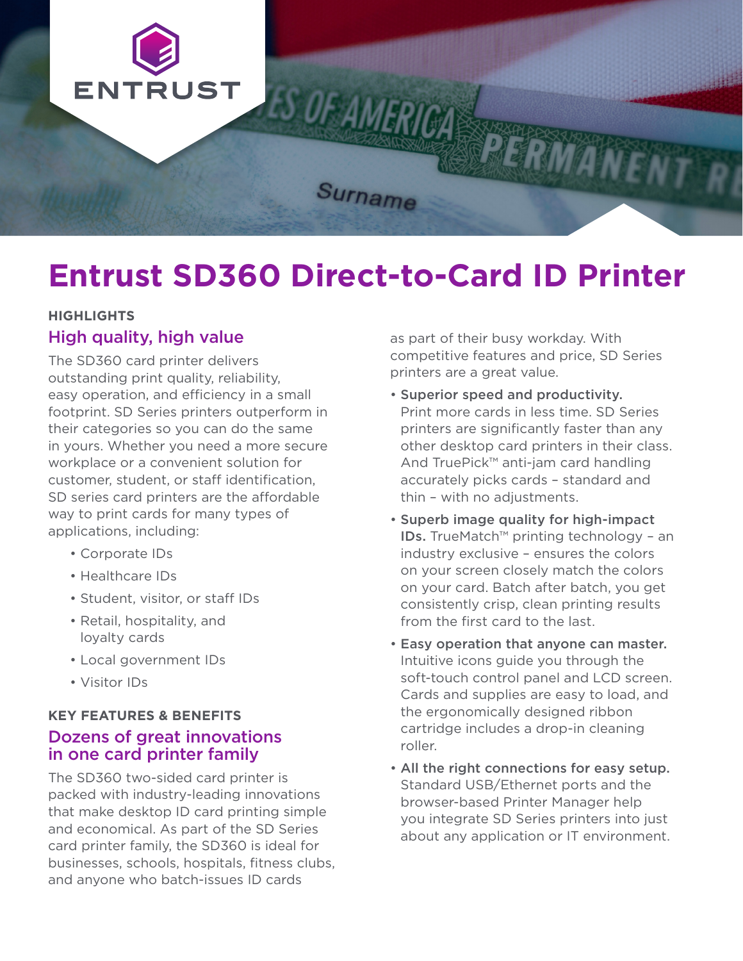

# **Entrust SD360 Direct-to-Card ID Printer**

## **HIGHLIGHTS**

#### High quality, high value

The SD360 card printer delivers outstanding print quality, reliability, easy operation, and efficiency in a small footprint. SD Series printers outperform in their categories so you can do the same in yours. Whether you need a more secure workplace or a convenient solution for customer, student, or staff identification, SD series card printers are the affordable way to print cards for many types of applications, including:

- Corporate IDs
- Healthcare IDs
- Student, visitor, or staff IDs
- Retail, hospitality, and loyalty cards
- Local government IDs
- Visitor IDs

#### **KEY FEATURES & BENEFITS**  Dozens of great innovations in one card printer family

The SD360 two-sided card printer is packed with industry-leading innovations that make desktop ID card printing simple and economical. As part of the SD Series card printer family, the SD360 is ideal for businesses, schools, hospitals, fitness clubs, and anyone who batch-issues ID cards

as part of their busy workday. With competitive features and price, SD Series printers are a great value.

- Superior speed and productivity. Print more cards in less time. SD Series printers are significantly faster than any other desktop card printers in their class. And TruePick™ anti-jam card handling accurately picks cards – standard and thin – with no adjustments.
- Superb image quality for high-impact IDs. TrueMatch™ printing technology – an industry exclusive – ensures the colors on your screen closely match the colors on your card. Batch after batch, you get consistently crisp, clean printing results from the first card to the last.
- Easy operation that anyone can master. Intuitive icons guide you through the soft-touch control panel and LCD screen. Cards and supplies are easy to load, and the ergonomically designed ribbon cartridge includes a drop-in cleaning roller.
- All the right connections for easy setup. Standard USB/Ethernet ports and the browser-based Printer Manager help you integrate SD Series printers into just about any application or IT environment.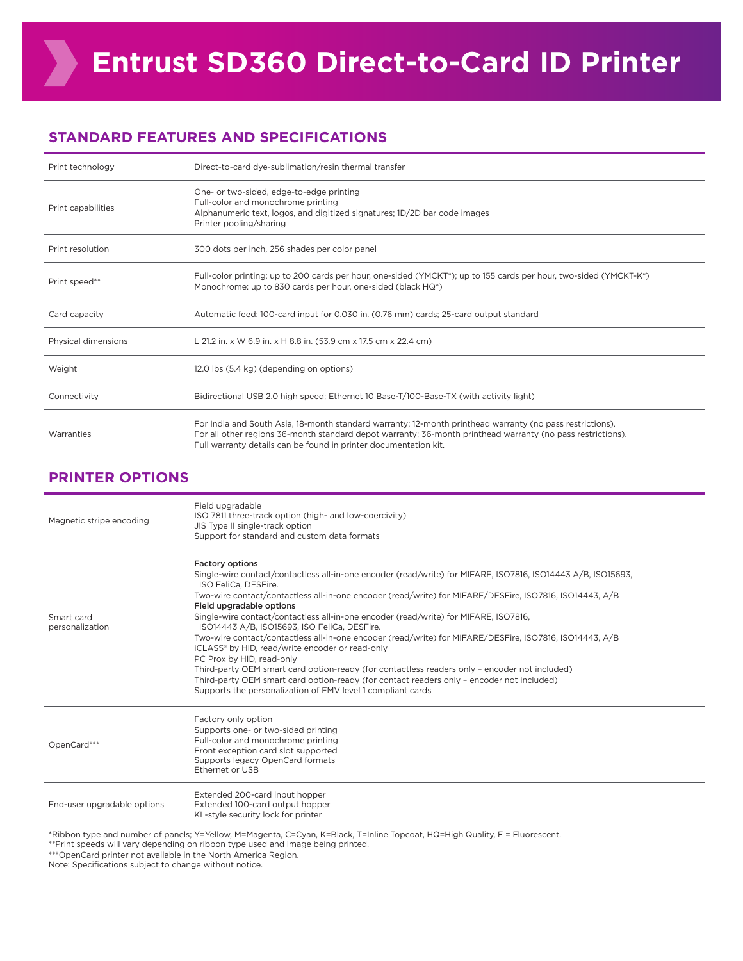### **STANDARD FEATURES AND SPECIFICATIONS**

| Print technology    | Direct-to-card dye-sublimation/resin thermal transfer                                                                                                                                                                                                                                        |
|---------------------|----------------------------------------------------------------------------------------------------------------------------------------------------------------------------------------------------------------------------------------------------------------------------------------------|
| Print capabilities  | One- or two-sided, edge-to-edge printing<br>Full-color and monochrome printing<br>Alphanumeric text, logos, and digitized signatures; 1D/2D bar code images<br>Printer pooling/sharing                                                                                                       |
| Print resolution    | 300 dots per inch, 256 shades per color panel                                                                                                                                                                                                                                                |
| Print speed**       | Full-color printing: up to 200 cards per hour, one-sided (YMCKT*); up to 155 cards per hour, two-sided (YMCKT-K*)<br>Monochrome: up to 830 cards per hour, one-sided (black HQ*)                                                                                                             |
| Card capacity       | Automatic feed: 100-card input for 0.030 in. (0.76 mm) cards; 25-card output standard                                                                                                                                                                                                        |
| Physical dimensions | L 21.2 in. x W 6.9 in. x H 8.8 in. (53.9 cm x 17.5 cm x 22.4 cm)                                                                                                                                                                                                                             |
| Weight              | 12.0 lbs (5.4 kg) (depending on options)                                                                                                                                                                                                                                                     |
| Connectivity        | Bidirectional USB 2.0 high speed; Ethernet 10 Base-T/100-Base-TX (with activity light)                                                                                                                                                                                                       |
| Warranties          | For India and South Asia, 18-month standard warranty; 12-month printhead warranty (no pass restrictions).<br>For all other regions 36-month standard depot warranty; 36-month printhead warranty (no pass restrictions).<br>Full warranty details can be found in printer documentation kit. |

#### **PRINTER OPTIONS**

| Magnetic stripe encoding      | Field upgradable<br>ISO 7811 three-track option (high- and low-coercivity)<br>JIS Type II single-track option<br>Support for standard and custom data formats                                                                                                                                                                                                                                                                                                                                                                                                                                                                                                                                                                                                                                                                                                                                         |
|-------------------------------|-------------------------------------------------------------------------------------------------------------------------------------------------------------------------------------------------------------------------------------------------------------------------------------------------------------------------------------------------------------------------------------------------------------------------------------------------------------------------------------------------------------------------------------------------------------------------------------------------------------------------------------------------------------------------------------------------------------------------------------------------------------------------------------------------------------------------------------------------------------------------------------------------------|
| Smart card<br>personalization | <b>Factory options</b><br>Single-wire contact/contactless all-in-one encoder (read/write) for MIFARE, ISO7816, ISO14443 A/B, ISO15693,<br>ISO FeliCa, DESFire.<br>Two-wire contact/contactless all-in-one encoder (read/write) for MIFARE/DESFire, ISO7816, ISO14443, A/B<br>Field upgradable options<br>Single-wire contact/contactless all-in-one encoder (read/write) for MIFARE, ISO7816,<br>ISO14443 A/B, ISO15693, ISO FeliCa, DESFire.<br>Two-wire contact/contactless all-in-one encoder (read/write) for MIFARE/DESFire, ISO7816, ISO14443, A/B<br>iCLASS® by HID, read/write encoder or read-only<br>PC Prox by HID, read-only<br>Third-party OEM smart card option-ready (for contactless readers only - encoder not included)<br>Third-party OEM smart card option-ready (for contact readers only - encoder not included)<br>Supports the personalization of EMV level 1 compliant cards |
| OpenCard***                   | Factory only option<br>Supports one- or two-sided printing<br>Full-color and monochrome printing<br>Front exception card slot supported<br>Supports legacy OpenCard formats<br>Ethernet or USB                                                                                                                                                                                                                                                                                                                                                                                                                                                                                                                                                                                                                                                                                                        |
| End-user upgradable options   | Extended 200-card input hopper<br>Extended 100-card output hopper<br>KL-style security lock for printer                                                                                                                                                                                                                                                                                                                                                                                                                                                                                                                                                                                                                                                                                                                                                                                               |

\*Ribbon type and number of panels; Y=Yellow, M=Magenta, C=Cyan, K=Black, T=Inline Topcoat, HQ=High Quality, F = Fluorescent.

\*\*Print speeds will vary depending on ribbon type used and image being printed.

\*\*\*OpenCard printer not available in the North America Region.

Note: Specifications subject to change without notice.